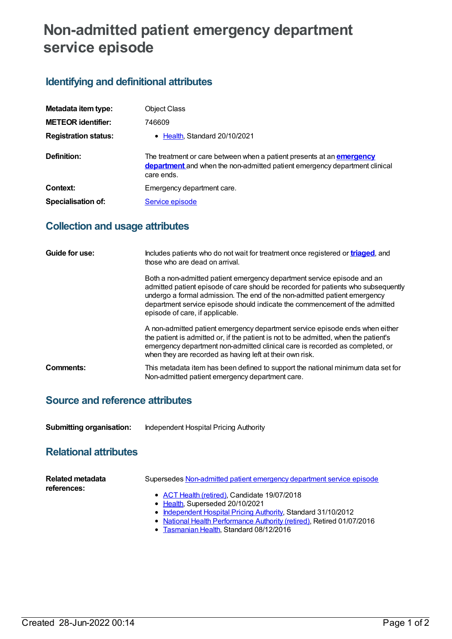# **Non-admitted patient emergency department service episode**

## **Identifying and definitional attributes**

| Metadata item type:         | <b>Object Class</b>                                                                                                                                                      |
|-----------------------------|--------------------------------------------------------------------------------------------------------------------------------------------------------------------------|
| <b>METEOR identifier:</b>   | 746609                                                                                                                                                                   |
| <b>Registration status:</b> | • Health, Standard 20/10/2021                                                                                                                                            |
| Definition:                 | The treatment or care between when a patient presents at an <b>emergency</b><br>department and when the non-admitted patient emergency department clinical<br>care ends. |
| Context:                    | Emergency department care.                                                                                                                                               |
| <b>Specialisation of:</b>   | Service episode                                                                                                                                                          |

### **Collection and usage attributes**

| Guide for use: | Includes patients who do not wait for treatment once registered or <b>triaged</b> , and<br>those who are dead on arrival.                                                                                                                                                                                                                                   |
|----------------|-------------------------------------------------------------------------------------------------------------------------------------------------------------------------------------------------------------------------------------------------------------------------------------------------------------------------------------------------------------|
|                | Both a non-admitted patient emergency department service episode and an<br>admitted patient episode of care should be recorded for patients who subsequently<br>undergo a formal admission. The end of the non-admitted patient emergency<br>department service episode should indicate the commencement of the admitted<br>episode of care, if applicable. |
|                | A non-admitted patient emergency department service episode ends when either<br>the patient is admitted or, if the patient is not to be admitted, when the patient's<br>emergency department non-admitted clinical care is recorded as completed, or<br>when they are recorded as having left at their own risk.                                            |
| Comments:      | This metadata item has been defined to support the national minimum data set for<br>Non-admitted patient emergency department care.                                                                                                                                                                                                                         |

#### **Source and reference attributes**

| <b>Submitting organisation:</b><br>Independent Hospital Pricing Authority |
|---------------------------------------------------------------------------|
|---------------------------------------------------------------------------|

### **Relational attributes**

| Related metadata<br>references: | Supersedes Non-admitted patient emergency department service episode |
|---------------------------------|----------------------------------------------------------------------|
|                                 | • ACT Health (retired), Candidate 19/07/2018                         |
|                                 | • Health. Superseded 20/10/2021                                      |
|                                 | • Independent Hospital Pricing Authority, Standard 31/10/2012        |

- National Health [Performance](https://meteor.aihw.gov.au/RegistrationAuthority/8) Authority (retired), Retired 01/07/2016
- [Tasmanian](https://meteor.aihw.gov.au/RegistrationAuthority/15) Health, Standard 08/12/2016